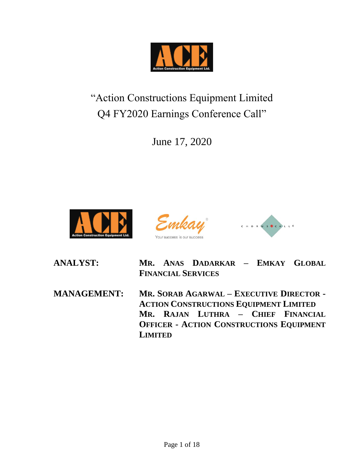

"Action Constructions Equipment Limited Q4 FY2020 Earnings Conference Call"

June 17, 2020







**ANALYST: MR. ANAS DADARKAR – EMKAY GLOBAL FINANCIAL SERVICES**

**MANAGEMENT: MR. SORAB AGARWAL – EXECUTIVE DIRECTOR - ACTION CONSTRUCTIONS EQUIPMENT LIMITED MR. RAJAN LUTHRA – CHIEF FINANCIAL OFFICER - ACTION CONSTRUCTIONS EQUIPMENT LIMITED**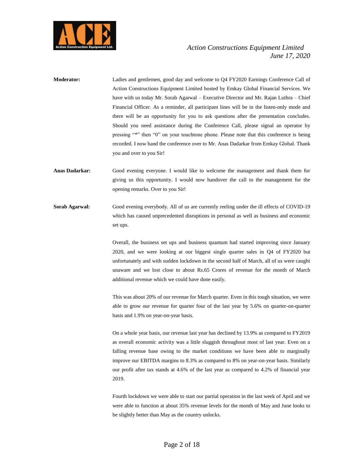

- **Moderator:** Ladies and gentlemen, good day and welcome to Q4 FY2020 Earnings Conference Call of Action Constructions Equipment Limited hosted by Emkay Global Financial Services. We have with us today Mr. Sorab Agarwal – Executive Director and Mr. Rajan Luthra – Chief Financial Officer. As a reminder, all participant lines will be in the listen-only mode and there will be an opportunity for you to ask questions after the presentation concludes. Should you need assistance during the Conference Call, please signal an operator by pressing "\*" then "0" on your touchtone phone. Please note that this conference is being recorded. I now hand the conference over to Mr. Anas Dadarkar from Emkay Global. Thank you and over to you Sir!
- **Anas Dadarkar:** Good evening everyone. I would like to welcome the management and thank them for giving us this opportunity. I would now handover the call to the management for the opening remarks. Over to you Sir!
- **Sorab Agarwal:** Good evening everybody. All of us are currently reeling under the ill effects of COVID-19 which has caused unprecedented disruptions in personal as well as business and economic set ups.

Overall, the business set ups and business quantum had started improving since January 2020, and we were looking at our biggest single quarter sales in Q4 of FY2020 but unfortunately and with sudden lockdown in the second half of March, all of us were caught unaware and we lost close to about Rs.65 Crores of revenue for the month of March additional revenue which we could have done easily.

This was about 20% of our revenue for March quarter. Even in this tough situation, we were able to grow our revenue for quarter four of the last year by 5.6% on quarter-on-quarter basis and 1.9% on year-on-year basis.

On a whole year basis, our revenue last year has declined by 13.9% as compared to FY2019 as overall economic activity was a little sluggish throughout most of last year. Even on a falling revenue base owing to the market conditions we have been able to marginally improve our EBITDA margins to 8.3% as compared to 8% on year-on-year basis. Similarly our profit after tax stands at 4.6% of the last year as compared to 4.2% of financial year 2019.

Fourth lockdown we were able to start our partial operation in the last week of April and we were able to function at about 35% revenue levels for the month of May and June looks to be slightly better than May as the country unlocks.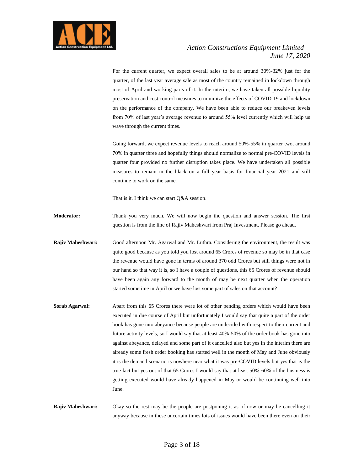

For the current quarter, we expect overall sales to be at around 30%-32% just for the quarter, of the last year average sale as most of the country remained in lockdown through most of April and working parts of it. In the interim, we have taken all possible liquidity preservation and cost control measures to minimize the effects of COVID-19 and lockdown on the performance of the company. We have been able to reduce our breakeven levels from 70% of last year's average revenue to around 55% level currently which will help us wave through the current times.

Going forward, we expect revenue levels to reach around 50%-55% in quarter two, around 70% in quarter three and hopefully things should normalize to normal pre-COVID levels in quarter four provided no further disruption takes place. We have undertaken all possible measures to remain in the black on a full year basis for financial year 2021 and still continue to work on the same.

That is it. I think we can start Q&A session.

**Moderator:** Thank you very much. We will now begin the question and answer session. The first question is from the line of Rajiv Maheshwari from Praj Investment. Please go ahead.

**Rajiv Maheshwari:** Good afternoon Mr. Agarwal and Mr. Luthra. Considering the environment, the result was quite good because as you told you lost around 65 Crores of revenue so may be in that case the revenue would have gone in terms of around 370 odd Crores but still things were not in our hand so that way it is, so I have a couple of questions, this 65 Crores of revenue should have been again any forward to the month of may be next quarter when the operation started sometime in April or we have lost some part of sales on that account?

Sorab Agarwal: Apart from this 65 Crores there were lot of other pending orders which would have been executed in due course of April but unfortunately I would say that quite a part of the order book has gone into abeyance because people are undecided with respect to their current and future activity levels, so I would say that at least 40%-50% of the order book has gone into against abeyance, delayed and some part of it cancelled also but yes in the interim there are already some fresh order booking has started well in the month of May and June obviously it is the demand scenario is nowhere near what it was pre-COVID levels but yes that is the true fact but yes out of that 65 Crores I would say that at least 50%-60% of the business is getting executed would have already happened in May or would be continuing well into June.

**Rajiv Maheshwari:** Okay so the rest may be the people are postponing it as of now or may be cancelling it anyway because in these uncertain times lots of issues would have been there even on their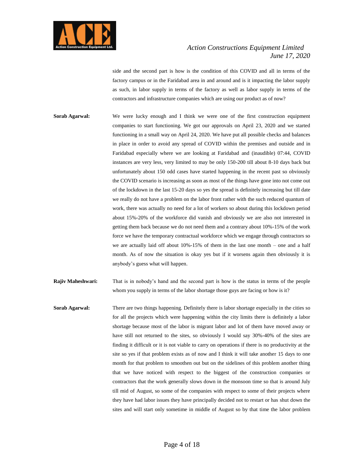

side and the second part is how is the condition of this COVID and all in terms of the factory campus or in the Faridabad area in and around and is it impacting the labor supply as such, in labor supply in terms of the factory as well as labor supply in terms of the contractors and infrastructure companies which are using our product as of now?

- **Sorab Agarwal:** We were lucky enough and I think we were one of the first construction equipment companies to start functioning. We got our approvals on April 23, 2020 and we started functioning in a small way on April 24, 2020. We have put all possible checks and balances in place in order to avoid any spread of COVID within the premises and outside and in Faridabad especially where we are looking at Faridabad and (inaudible) 07:44, COVID instances are very less, very limited to may be only 150-200 till about 8-10 days back but unfortunately about 150 odd cases have started happening in the recent past so obviously the COVID scenario is increasing as soon as most of the things have gone into not come out of the lockdown in the last 15-20 days so yes the spread is definitely increasing but till date we really do not have a problem on the labor front rather with the such reduced quantum of work, there was actually no need for a lot of workers so about during this lockdown period about 15%-20% of the workforce did vanish and obviously we are also not interested in getting them back because we do not need them and a contrary about 10%-15% of the work force we have the temporary contractual workforce which we engage through contractors so we are actually laid off about 10%-15% of them in the last one month – one and a half month. As of now the situation is okay yes but if it worsens again then obviously it is anybody's guess what will happen.
- **Rajiv Maheshwari:** That is in nobody's hand and the second part is how is the status in terms of the people whom you supply in terms of the labor shortage those guys are facing or how is it?
- **Sorab Agarwal:** There are two things happening. Definitely there is labor shortage especially in the cities so for all the projects which were happening within the city limits there is definitely a labor shortage because most of the labor is migrant labor and lot of them have moved away or have still not returned to the sites, so obviously I would say 30%-40% of the sites are finding it difficult or it is not viable to carry on operations if there is no productivity at the site so yes if that problem exists as of now and I think it will take another 15 days to one month for that problem to smoothen out but on the sidelines of this problem another thing that we have noticed with respect to the biggest of the construction companies or contractors that the work generally slows down in the monsoon time so that is around July till mid of August, so some of the companies with respect to some of their projects where they have had labor issues they have principally decided not to restart or has shut down the sites and will start only sometime in middle of August so by that time the labor problem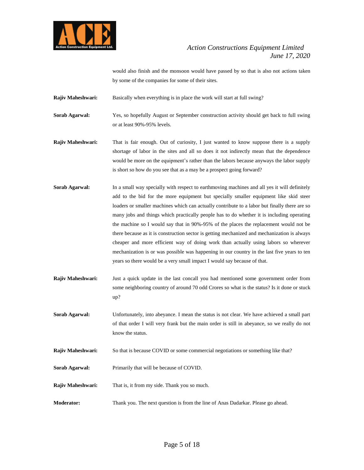

would also finish and the monsoon would have passed by so that is also not actions taken by some of the companies for some of their sites.

**Rajiv Maheshwari:** Basically when everything is in place the work will start at full swing?

**Sorab Agarwal:** Yes, so hopefully August or September construction activity should get back to full swing or at least 90%-95% levels.

**Rajiv Maheshwari:** That is fair enough. Out of curiosity, I just wanted to know suppose there is a supply shortage of labor in the sites and all so does it not indirectly mean that the dependence would be more on the equipment's rather than the labors because anyways the labor supply is short so how do you see that as a may be a prospect going forward?

- **Sorab Agarwal:** In a small way specially with respect to earthmoving machines and all yes it will definitely add to the bid for the more equipment but specially smaller equipment like skid steer loaders or smaller machines which can actually contribute to a labor but finally there are so many jobs and things which practically people has to do whether it is including operating the machine so I would say that in 90%-95% of the places the replacement would not be there because as it is construction sector is getting mechanized and mechanization is always cheaper and more efficient way of doing work than actually using labors so wherever mechanization is or was possible was happening in our country in the last five years to ten years so there would be a very small impact I would say because of that.
- **Rajiv Maheshwari:** Just a quick update in the last concall you had mentioned some government order from some neighboring country of around 70 odd Crores so what is the status? Is it done or stuck up?
- **Sorab Agarwal:** Unfortunately, into abeyance. I mean the status is not clear. We have achieved a small part of that order I will very frank but the main order is still in abeyance, so we really do not know the status.
- **Rajiv Maheshwari:** So that is because COVID or some commercial negotiations or something like that?
- **Sorab Agarwal:** Primarily that will be because of COVID.

**Rajiv Maheshwari:** That is, it from my side. Thank you so much.

**Moderator:** Thank you. The next question is from the line of Anas Dadarkar. Please go ahead.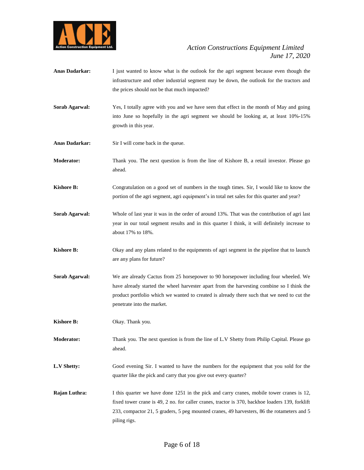

- **Anas Dadarkar:** I just wanted to know what is the outlook for the agri segment because even though the infrastructure and other industrial segment may be down, the outlook for the tractors and the prices should not be that much impacted?
- **Sorab Agarwal:** Yes, I totally agree with you and we have seen that effect in the month of May and going into June so hopefully in the agri segment we should be looking at, at least 10%-15% growth in this year.
- **Anas Dadarkar:** Sir I will come back in the queue.
- **Moderator:** Thank you. The next question is from the line of Kishore B, a retail investor. Please go ahead.
- **Kishore B:** Congratulation on a good set of numbers in the tough times. Sir, I would like to know the portion of the agri segment, agri equipment's in total net sales for this quarter and year?
- **Sorab Agarwal:** Whole of last year it was in the order of around 13%. That was the contribution of agri last year in our total segment results and in this quarter I think, it will definitely increase to about 17% to 18%.
- **Kishore B:** Okay and any plans related to the equipments of agri segment in the pipeline that to launch are any plans for future?
- **Sorab Agarwal:** We are already Cactus from 25 horsepower to 90 horsepower including four wheeled. We have already started the wheel harvester apart from the harvesting combine so I think the product portfolio which we wanted to created is already there such that we need to cut the penetrate into the market.
- **Kishore B:** Okay. Thank you.
- **Moderator:** Thank you. The next question is from the line of L.V Shetty from Philip Capital. Please go ahead.
- **L.V Shetty:** Good evening Sir. I wanted to have the numbers for the equipment that you sold for the quarter like the pick and carry that you give out every quarter?
- **Rajan Luthra:** I this quarter we have done 1251 in the pick and carry cranes, mobile tower cranes is 12, fixed tower crane is 49, 2 no. for caller cranes, tractor is 370, backhoe loaders 139, forklift 233, compactor 21, 5 graders, 5 peg mounted cranes, 49 harvesters, 86 the rotameters and 5 piling rigs.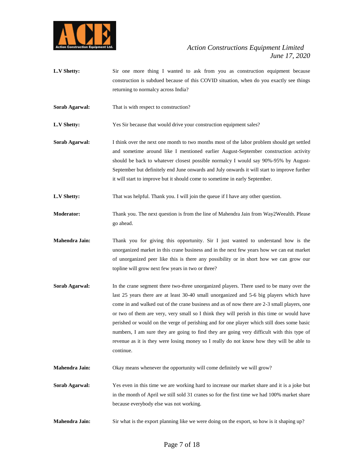

- L.V Shetty: Sir one more thing I wanted to ask from you as construction equipment because construction is subdued because of this COVID situation, when do you exactly see things returning to normalcy across India?
- **Sorab Agarwal:** That is with respect to construction?
- **L.V Shetty:** Yes Sir because that would drive your construction equipment sales?
- **Sorab Agarwal:** I think over the next one month to two months most of the labor problem should get settled and sometime around like I mentioned earlier August-September construction activity should be back to whatever closest possible normalcy I would say 90%-95% by August-September but definitely end June onwards and July onwards it will start to improve further it will start to improve but it should come to sometime in early September.
- **L.V Shetty:** That was helpful. Thank you. I will join the queue if I have any other question.
- **Moderator:** Thank you. The next question is from the line of Mahendra Jain from Way2Weealth. Please go ahead.
- **Mahendra Jain:** Thank you for giving this opportunity. Sir I just wanted to understand how is the unorganized market in this crane business and in the next few years how we can eat market of unorganized peer like this is there any possibility or in short how we can grow our topline will grow next few years in two or three?
- **Sorab Agarwal:** In the crane segment there two-three unorganized players. There used to be many over the last 25 years there are at least 30-40 small unorganized and 5-6 big players which have come in and walked out of the crane business and as of now there are 2-3 small players, one or two of them are very, very small so I think they will perish in this time or would have perished or would on the verge of perishing and for one player which still does some basic numbers, I am sure they are going to find they are going very difficult with this type of revenue as it is they were losing money so I really do not know how they will be able to continue.
- **Mahendra Jain:** Okay means whenever the opportunity will come definitely we will grow?
- **Sorab Agarwal:** Yes even in this time we are working hard to increase our market share and it is a joke but in the month of April we still sold 31 cranes so for the first time we had 100% market share because everybody else was not working.
- **Mahendra Jain:** Sir what is the export planning like we were doing on the export, so how is it shaping up?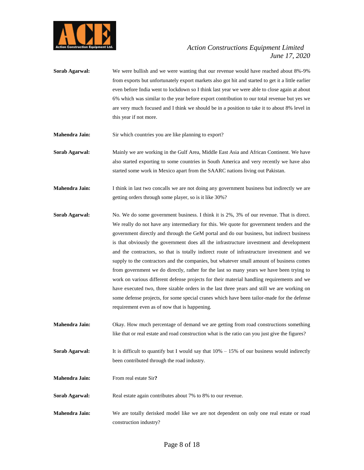

- **Sorab Agarwal:** We were bullish and we were wanting that our revenue would have reached about 8%-9% from exports but unfortunately export markets also got hit and started to get it a little earlier even before India went to lockdown so I think last year we were able to close again at about 6% which was similar to the year before export contribution to our total revenue but yes we are very much focused and I think we should be in a position to take it to about 8% level in this year if not more.
- **Mahendra Jain:** Sir which countries you are like planning to export?
- **Sorab Agarwal:** Mainly we are working in the Gulf Area, Middle East Asia and African Continent. We have also started exporting to some countries in South America and very recently we have also started some work in Mexico apart from the SAARC nations living out Pakistan.
- **Mahendra Jain:** I think in last two concalls we are not doing any government business but indirectly we are getting orders through some player, so is it like 30%?
- **Sorab Agarwal:** No. We do some government business. I think it is 2%, 3% of our revenue. That is direct. We really do not have any intermediary for this. We quote for government tenders and the government directly and through the GeM portal and do our business, but indirect business is that obviously the government does all the infrastructure investment and development and the contractors, so that is totally indirect route of infrastructure investment and we supply to the contractors and the companies, but whatever small amount of business comes from government we do directly, rather for the last so many years we have been trying to work on various different defense projects for their material handling requirements and we have executed two, three sizable orders in the last three years and still we are working on some defense projects, for some special cranes which have been tailor-made for the defense requirement even as of now that is happening.
- **Mahendra Jain:** Okay. How much percentage of demand we are getting from road constructions something like that or real estate and road construction what is the ratio can you just give the figures?
- **Sorab Agarwal:** It is difficult to quantify but I would say that  $10\% 15\%$  of our business would indirectly been contributed through the road industry.
- **Mahendra Jain:** From real estate Sir**?**
- **Sorab Agarwal:** Real estate again contributes about 7% to 8% to our revenue.
- **Mahendra Jain:** We are totally derisked model like we are not dependent on only one real estate or road construction industry?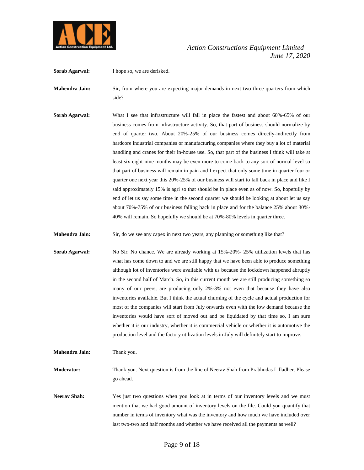

**Sorab Agarwal:** I hope so, we are derisked.

**Mahendra Jain:** Sir, from where you are expecting major demands in next two-three quarters from which side?

**Sorab Agarwal:** What I see that infrastructure will fall in place the fastest and about 60%-65% of our business comes from infrastructure activity. So, that part of business should normalize by end of quarter two. About 20%-25% of our business comes directly-indirectly from hardcore industrial companies or manufacturing companies where they buy a lot of material handling and cranes for their in-house use. So, that part of the business I think will take at least six-eight-nine months may be even more to come back to any sort of normal level so that part of business will remain in pain and I expect that only some time in quarter four or quarter one next year this 20%-25% of our business will start to fall back in place and like I said approximately 15% is agri so that should be in place even as of now. So, hopefully by end of let us say some time in the second quarter we should be looking at about let us say about 70%-75% of our business falling back in place and for the balance 25% about 30%- 40% will remain. So hopefully we should be at 70%-80% levels in quarter three.

**Mahendra Jain:** Sir, do we see any capex in next two years, any planning or something like that?

**Sorab Agarwal:** No Sir. No chance. We are already working at 15%-20%- 25% utilization levels that has what has come down to and we are still happy that we have been able to produce something although lot of inventories were available with us because the lockdown happened abruptly in the second half of March. So, in this current month we are still producing something so many of our peers, are producing only 2%-3% not even that because they have also inventories available. But I think the actual churning of the cycle and actual production for most of the companies will start from July onwards even with the low demand because the inventories would have sort of moved out and be liquidated by that time so, I am sure whether it is our industry, whether it is commercial vehicle or whether it is automotive the production level and the factory utilization levels in July will definitely start to improve.

**Mahendra Jain:** Thank you.

**Moderator:** Thank you. Next question is from the line of Neerav Shah from Prabhudas Lilladher. Please go ahead.

**Neerav Shah:** Yes just two questions when you look at in terms of our inventory levels and we must mention that we had good amount of inventory levels on the file. Could you quantify that number in terms of inventory what was the inventory and how much we have included over last two-two and half months and whether we have received all the payments as well?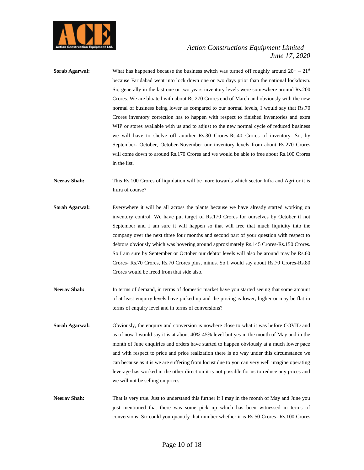

- **Sorab Agarwal:** What has happened because the business switch was turned off roughly around  $20^{\text{th}} 21^{\text{st}}$ because Faridabad went into lock down one or two days prior than the national lockdown. So, generally in the last one or two years inventory levels were somewhere around Rs.200 Crores. We are bloated with about Rs.270 Crores end of March and obviously with the new normal of business being lower as compared to our normal levels, I would say that Rs.70 Crores inventory correction has to happen with respect to finished inventories and extra WIP or stores available with us and to adjust to the new normal cycle of reduced business we will have to shelve off another Rs.30 Crores-Rs.40 Crores of inventory. So, by September- October, October-November our inventory levels from about Rs.270 Crores will come down to around Rs.170 Crores and we would be able to free about Rs.100 Crores in the list.
- Neerav Shah: This Rs.100 Crores of liquidation will be more towards which sector Infra and Agri or it is Infra of course?
- **Sorab Agarwal:** Everywhere it will be all across the plants because we have already started working on inventory control. We have put target of Rs.170 Crores for ourselves by October if not September and I am sure it will happen so that will free that much liquidity into the company over the next three four months and second part of your question with respect to debtors obviously which was hovering around approximately Rs.145 Crores-Rs.150 Crores. So I am sure by September or October our debtor levels will also be around may be Rs.60 Crores- Rs.70 Crores, Rs.70 Crores plus, minus. So I would say about Rs.70 Crores-Rs.80 Crores would be freed from that side also.
- **Neerav Shah:** In terms of demand, in terms of domestic market have you started seeing that some amount of at least enquiry levels have picked up and the pricing is lower, higher or may be flat in terms of enquiry level and in terms of conversions?
- **Sorab Agarwal:** Obviously, the enquiry and conversion is nowhere close to what it was before COVID and as of now I would say it is at about 40%-45% level but yes in the month of May and in the month of June enquiries and orders have started to happen obviously at a much lower pace and with respect to price and price realization there is no way under this circumstance we can because as it is we are suffering from locust due to you can very well imagine operating leverage has worked in the other direction it is not possible for us to reduce any prices and we will not be selling on prices.
- **Neerav Shah:** That is very true. Just to understand this further if I may in the month of May and June you just mentioned that there was some pick up which has been witnessed in terms of conversions. Sir could you quantify that number whether it is Rs.50 Crores- Rs.100 Crores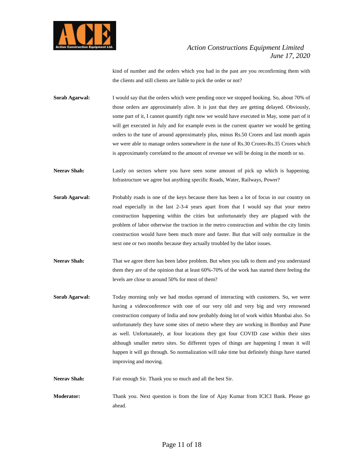

kind of number and the orders which you had in the past are you reconfirming them with the clients and still clients are liable to pick the order or not?

**Sorab Agarwal:** I would say that the orders which were pending once we stopped booking. So, about 70% of those orders are approximately alive. It is just that they are getting delayed. Obviously, some part of it, I cannot quantify right now we would have executed in May, some part of it will get executed in July and for example even in the current quarter we would be getting orders to the tune of around approximately plus, minus Rs.50 Crores and last month again we were able to manage orders somewhere in the tune of Rs.30 Crores-Rs.35 Crores which is approximately correlated to the amount of revenue we will be doing in the month or so.

**Neerav Shah:** Lastly on sectors where you have seen some amount of pick up which is happening. Infrastructure we agree but anything specific Roads, Water, Railways, Power?

- **Sorab Agarwal:** Probably roads is one of the keys because there has been a lot of focus in our country on road especially in the last 2-3-4 years apart from that I would say that your metro construction happening within the cities but unfortunately they are plagued with the problem of labor otherwise the traction in the metro construction and within the city limits construction would have been much more and faster. But that will only normalize in the next one or two months because they actually troubled by the labor issues.
- **Neerav Shah:** That we agree there has been labor problem. But when you talk to them and you understand them they are of the opinion that at least 60%-70% of the work has started there feeling the levels are close to around 50% for most of them?
- **Sorab Agarwal:** Today morning only we had modus operand of interacting with customers. So, we were having a videoconference with one of our very old and very big and very renowned construction company of India and now probably doing lot of work within Mumbai also. So unfortunately they have some sites of metro where they are working in Bombay and Pune as well. Unfortunately, at four locations they got four COVID case within their sites although smaller metro sites. So different types of things are happening I mean it will happen it will go through. So normalization will take time but definitely things have started improving and moving.

Neerav Shah: Fair enough Sir. Thank you so much and all the best Sir.

**Moderator:** Thank you. Next question is from the line of Ajay Kumar from ICICI Bank. Please go ahead.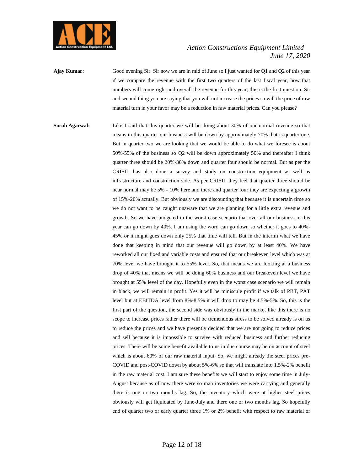

**Ajay Kumar:** Good evening Sir. Sir now we are in mid of June so I just wanted for Q1 and Q2 of this year if we compare the revenue with the first two quarters of the last fiscal year, how that numbers will come right and overall the revenue for this year, this is the first question. Sir and second thing you are saying that you will not increase the prices so will the price of raw material turn in your favor may be a reduction in raw material prices. Can you please?

**Sorab Agarwal:** Like I said that this quarter we will be doing about 30% of our normal revenue so that means in this quarter our business will be down by approximately 70% that is quarter one. But in quarter two we are looking that we would be able to do what we foresee is about 50%-55% of the business so Q2 will be down approximately 50% and thereafter I think quarter three should be 20%-30% down and quarter four should be normal. But as per the CRISIL has also done a survey and study on construction equipment as well as infrastructure and construction side. As per CRISIL they feel that quarter three should be near normal may be 5% - 10% here and there and quarter four they are expecting a growth of 15%-20% actually. But obviously we are discounting that because it is uncertain time so we do not want to be caught unaware that we are planning for a little extra revenue and growth. So we have budgeted in the worst case scenario that over all our business in this year can go down by 40%. I am using the word can go down so whether it goes to 40%- 45% or it might goes down only 25% that time will tell. But in the interim what we have done that keeping in mind that our revenue will go down by at least 40%. We have reworked all our fixed and variable costs and ensured that our breakeven level which was at 70% level we have brought it to 55% level. So, that means we are looking at a business drop of 40% that means we will be doing 60% business and our breakeven level we have brought at 55% level of the day. Hopefully even in the worst case scenario we will remain in black, we will remain in profit. Yes it will be miniscule profit if we talk of PBT, PAT level but at EBITDA level from 8%-8.5% it will drop to may be 4.5%-5%. So, this is the first part of the question, the second side was obviously in the market like this there is no scope to increase prices rather there will be tremendous stress to be solved already is on us to reduce the prices and we have presently decided that we are not going to reduce prices and sell because it is impossible to survive with reduced business and further reducing prices. There will be some benefit available to us in due course may be on account of steel which is about 60% of our raw material input. So, we might already the steel prices pre-COVID and post-COVID down by about 5%-6% so that will translate into 1.5%-2% benefit in the raw material cost. I am sure these benefits we will start to enjoy some time in July-August because as of now there were so man inventories we were carrying and generally there is one or two months lag. So, the inventory which were at higher steel prices obviously will get liquidated by June-July and there one or two months lag. So hopefully end of quarter two or early quarter three 1% or 2% benefit with respect to raw material or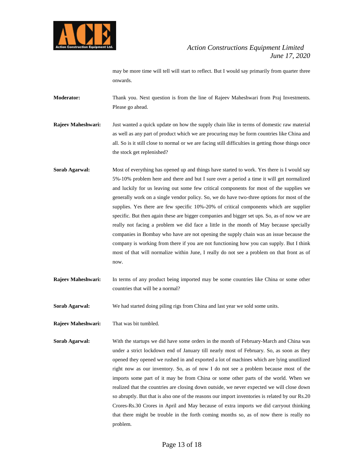

may be more time will tell will start to reflect. But I would say primarily from quarter three onwards.

**Moderator:** Thank you. Next question is from the line of Rajeev Maheshwari from Praj Investments. Please go ahead.

**Rajeev Maheshwari:** Just wanted a quick update on how the supply chain like in terms of domestic raw material as well as any part of product which we are procuring may be form countries like China and all. So is it still close to normal or we are facing still difficulties in getting those things once the stock get replenished?

- **Sorab Agarwal:** Most of everything has opened up and things have started to work. Yes there is I would say 5%-10% problem here and there and but I sure over a period a time it will get normalized and luckily for us leaving out some few critical components for most of the supplies we generally work on a single vendor policy. So, we do have two-three options for most of the supplies. Yes there are few specific 10%-20% of critical components which are supplier specific. But then again these are bigger companies and bigger set ups. So, as of now we are really not facing a problem we did face a little in the month of May because specially companies in Bombay who have are not opening the supply chain was an issue because the company is working from there if you are not functioning how you can supply. But I think most of that will normalize within June, I really do not see a problem on that front as of now.
- **Rajeev Maheshwari:** In terms of any product being imported may be some countries like China or some other countries that will be a normal?

**Sorab Agarwal:** We had started doing piling rigs from China and last year we sold some units.

**Rajeev Maheshwari:** That was bit tumbled.

**Sorab Agarwal:** With the startups we did have some orders in the month of February-March and China was under a strict lockdown end of January till nearly most of February. So, as soon as they opened they opened we rushed in and exported a lot of machines which are lying unutilized right now as our inventory. So, as of now I do not see a problem because most of the imports some part of it may be from China or some other parts of the world. When we realized that the countries are closing down outside, we never expected we will close down so abruptly. But that is also one of the reasons our import inventories is related by our Rs.20 Crores-Rs.30 Crores in April and May because of extra imports we did carryout thinking that there might be trouble in the forth coming months so, as of now there is really no problem.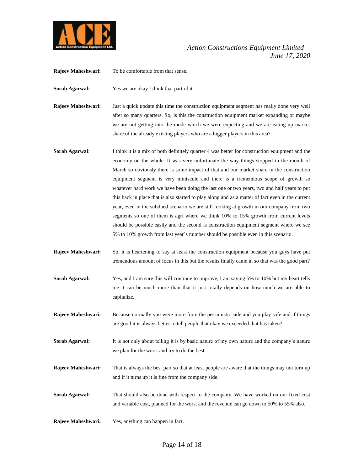

**Rajeev Maheshwari:** To be comfortable from that sense.

**Sorab Agarwal:** Yes we are okay I think that part of it.

**Rajeev Maheshwari:** Just a quick update this time the construction equipment segment has really done very well after so many quarters. So, is this the construction equipment market expanding or maybe we are not getting into the mode which we were expecting and we are eating up market share of the already existing players who are a bigger players in this area?

- **Sorab Agarwal:** I think it is a mix of both definitely quarter 4 was better for construction equipment and the economy on the whole. It was very unfortunate the way things stopped in the month of March so obviously there is some impact of that and our market share in the construction equipment segment is very miniscule and there is a tremendous scope of growth so whatever hard work we have been doing the last one or two years, two and half years to put this back in place that is also started to play along and as a matter of fact even in the current year, even in the subdued scenario we are still looking at growth in our company from two segments so one of them is agri where we think 10% to 15% growth from current levels should be possible easily and the second is construction equipment segment where we see 5% to 10% growth from last year's number should be possible even in this scenario.
- **Rajeev Maheshwari:** So, it is heartening to say at least the construction equipment because you guys have put tremendous amount of focus in this but the results finally came in so that was the good part?
- **Sorab Agarwal:** Yes, and I am sure this will continue to improve, I am saying 5% to 10% but my heart tells me it can be much more than that it just totally depends on how much we are able to capitalize.
- **Rajeev Maheshwari:** Because normally you were more from the pessimistic side and you play safe and if things are good it is always better to tell people that okay we exceeded that has taken?
- **Sorab Agarwal:** It is not only about telling it is by basic nature of my own nature and the company's nature we plan for the worst and try to do the best.
- **Rajeev Maheshwari:** That is always the best part so that at least people are aware that the things may not turn up and if it turns up it is fine from the company side.
- **Sorab Agarwal:** That should also be done with respect to the company. We have worked on our fixed cost and variable cost, planned for the worst and the revenue can go down to 50% to 55% also.
- **Rajeev Maheshwari:** Yes, anything can happen in fact.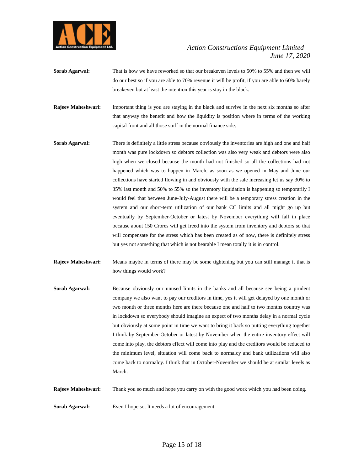

- **Sorab Agarwal:** That is how we have reworked so that our breakeven levels to 50% to 55% and then we will do our best so if you are able to 70% revenue it will be profit, if you are able to 60% barely breakeven but at least the intention this year is stay in the black.
- **Rajeev Maheshwari:** Important thing is you are staying in the black and survive in the next six months so after that anyway the benefit and how the liquidity is position where in terms of the working capital front and all those stuff in the normal finance side.
- **Sorab Agarwal:** There is definitely a little stress because obviously the inventories are high and one and half month was pure lockdown so debtors collection was also very weak and debtors were also high when we closed because the month had not finished so all the collections had not happened which was to happen in March, as soon as we opened in May and June our collections have started flowing in and obviously with the sale increasing let us say 30% to 35% last month and 50% to 55% so the inventory liquidation is happening so temporarily I would feel that between June-July-August there will be a temporary stress creation in the system and our short-term utilization of our bank CC limits and all might go up but eventually by September-October or latest by November everything will fall in place because about 150 Crores will get freed into the system from inventory and debtors so that will compensate for the stress which has been created as of now, there is definitely stress but yes not something that which is not bearable I mean totally it is in control.
- **Rajeev Maheshwari:** Means maybe in terms of there may be some tightening but you can still manage it that is how things would work?
- **Sorab Agarwal:** Because obviously our unused limits in the banks and all because see being a prudent company we also want to pay our creditors in time, yes it will get delayed by one month or two month or three months here are there because one and half to two months country was in lockdown so everybody should imagine an expect of two months delay in a normal cycle but obviously at some point in time we want to bring it back so putting everything together I think by September-October or latest by November when the entire inventory effect will come into play, the debtors effect will come into play and the creditors would be reduced to the minimum level, situation will come back to normalcy and bank utilizations will also come back to normalcy. I think that in October-November we should be at similar levels as March.

**Rajeev Maheshwari:** Thank you so much and hope you carry on with the good work which you had been doing.

**Sorab Agarwal:** Even I hope so. It needs a lot of encouragement.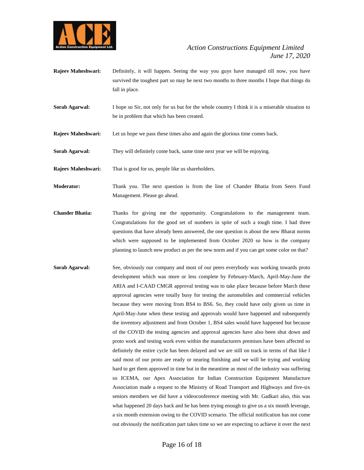

- **Rajeev Maheshwari:** Definitely, it will happen. Seeing the way you guys have managed till now, you have survived the toughest part so may be next two months to three months I hope that things do fall in place.
- **Sorab Agarwal:** I hope so Sir, not only for us but for the whole country I think it is a miserable situation to be in problem that which has been created.
- **Rajeev Maheshwari:** Let us hope we pass these times also and again the glorious time comes back.
- **Sorab Agarwal:** They will definitely come back, same time next year we will be enjoying.
- **Rajeev Maheshwari:** That is good for us, people like us shareholders.
- **Moderator:** Thank you. The next question is from the line of Chander Bhatia from Seers Fund Management. Please go ahead.
- **Chander Bhatia:** Thanks for giving me the opportunity. Congratulations to the management team. Congratulations for the good set of numbers in spite of such a tough time. I had three questions that have already been answered, the one question is about the new Bharat norms which were supposed to be implemented from October 2020 so how is the company planning to launch new product as per the new norm and if you can get some color on that?
- **Sorab Agarwal:** See, obviously our company and most of our peers everybody was working towards proto development which was more or less complete by February-March, April-May-June the ARIA and I-CAAD CMGR approval testing was to take place because before March these approval agencies were totally busy for testing the automobiles and commercial vehicles because they were moving from BS4 to BS6. So, they could have only given us time in April-May-June when these testing and approvals would have happened and subsequently the inventory adjustment and from October 1, BS4 sales would have happened but because of the COVID the testing agencies and approval agencies have also been shut down and proto work and testing work even within the manufacturers premises have been affected so definitely the entire cycle has been delayed and we are still on track in terms of that like I said most of our proto are ready or nearing finishing and we will be trying and working hard to get them approved in time but in the meantime as most of the industry was suffering so ICEMA, our Apex Association for Indian Construction Equipment Manufacture Association made a request to the Ministry of Road Transport and Highways and five-six seniors members we did have a videoconference meeting with Mr. Gadkari also, this was what happened 20 days back and he has been trying enough to give us a six month leverage, a six month extension owing to the COVID scenario. The official notification has not come out obviously the notification part takes time so we are expecting to achieve it over the next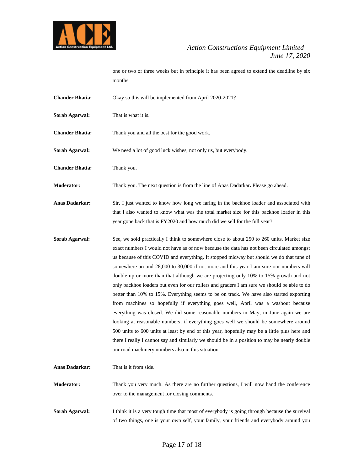

one or two or three weeks but in principle it has been agreed to extend the deadline by six months.

- **Chander Bhatia:** Okay so this will be implemented from April 2020-2021?
- **Sorab Agarwal:** That is what it is.

**Chander Bhatia:** Thank you and all the best for the good work.

**Sorab Agarwal:** We need a lot of good luck wishes, not only us, but everybody.

**Chander Bhatia:** Thank you.

**Moderator:** Thank you. The next question is from the line of Anas Dadarkar**.** Please go ahead.

**Anas Dadarkar:** Sir, I just wanted to know how long we faring in the backhoe loader and associated with that I also wanted to know what was the total market size for this backhoe loader in this year gone back that is FY2020 and how much did we sell for the full year?

- **Sorab Agarwal:** See, we sold practically I think to somewhere close to about 250 to 260 units. Market size exact numbers I would not have as of now because the data has not been circulated amongst us because of this COVID and everything. It stopped midway but should we do that tune of somewhere around 28,000 to 30,000 if not more and this year I am sure our numbers will double up or more than that although we are projecting only 10% to 15% growth and not only backhoe loaders but even for our rollers and graders I am sure we should be able to do better than 10% to 15%. Everything seems to be on track. We have also started exporting from machines so hopefully if everything goes well, April was a washout because everything was closed. We did some reasonable numbers in May, in June again we are looking at reasonable numbers, if everything goes well we should be somewhere around 500 units to 600 units at least by end of this year, hopefully may be a little plus here and there I really I cannot say and similarly we should be in a position to may be nearly double our road machinery numbers also in this situation.
- **Anas Dadarkar:** That is it from side. **Moderator:** Thank you very much. As there are no further questions, I will now hand the conference over to the management for closing comments.
- **Sorab Agarwal:** I think it is a very tough time that most of everybody is going through because the survival of two things, one is your own self, your family, your friends and everybody around you